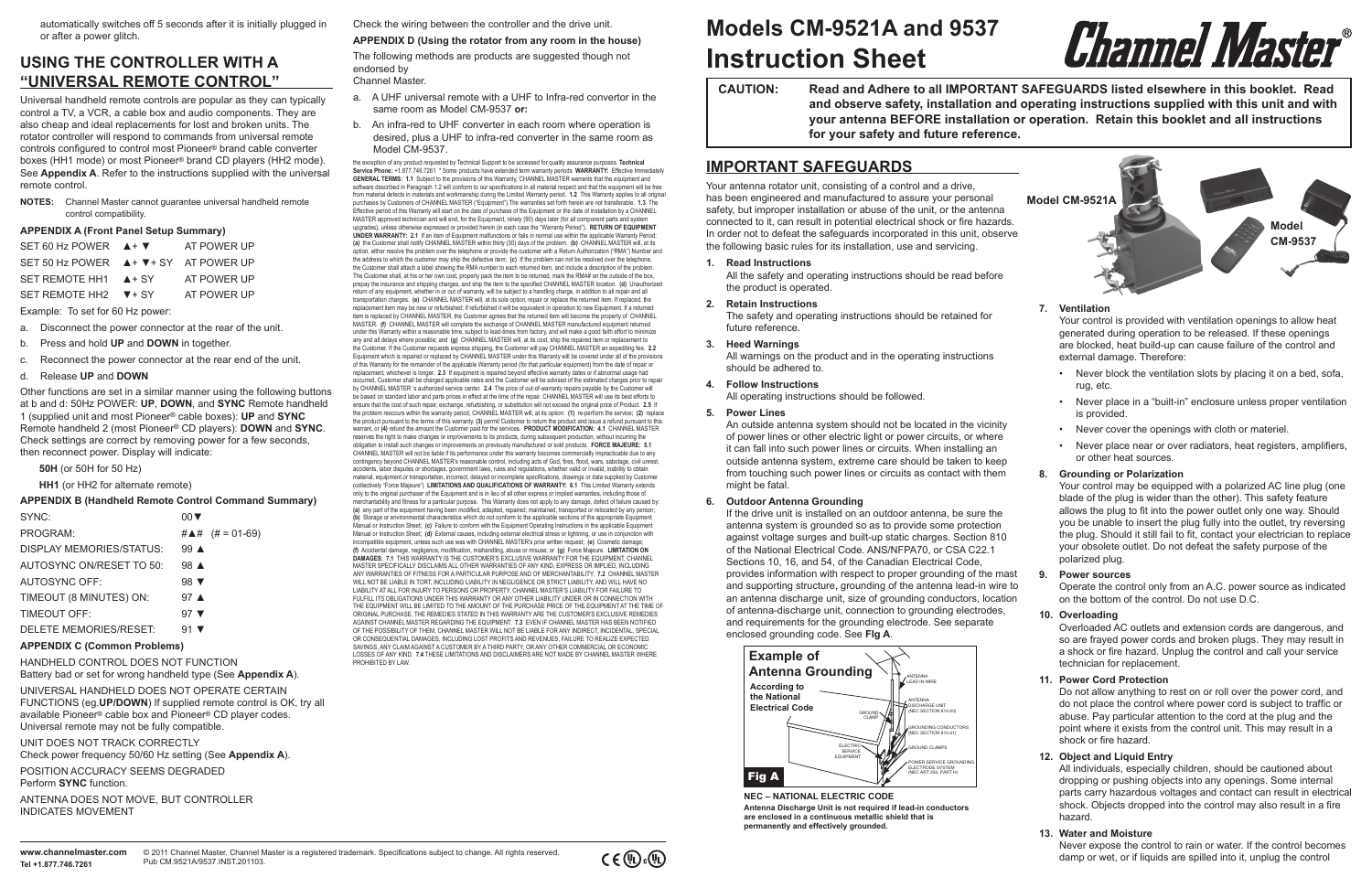| <b>CAUTION:</b> | <b>Read and Adhere to all IMPORTANT</b> |
|-----------------|-----------------------------------------|
|                 | and observe safety, installation and    |
|                 | your antenna BEFORE installation o      |
|                 | for your safety and future reference.   |

## **Instruction Sheet Models CM-9521A and 9537**

## **IMPORTANT SAFEGUARDS**

Your antenna rotator unit, consisting of a control and a drive, has been engineered and manufactured to assure your personal safety, but improper installation or abuse of the unit, or the antenna connected to it, can result in potential electrical shock or fire hazards. In order not to defeat the safeguards incorporated in this unit, observe the following basic rules for its installation, use and servicing.

#### **1. Read Instructions**

All the safety and operating instructions should be read before the product is operated.

#### **2. Retain Instructions**

The safety and operating instructions should be retained for future reference.

**3. Heed Warnings**

All warnings on the product and in the operating instructions should be adhered to.

**4. Follow Instructions**

All operating instructions should be followed.

#### **5. Power Lines**

An outside antenna system should not be located in the vicinity of power lines or other electric light or power circuits, or where it can fall into such power lines or circuits. When installing an outside antenna system, extreme care should be taken to keep from touching such power lines or circuits as contact with them might be fatal.

#### **6. Outdoor Antenna Grounding**

If the drive unit is installed on an outdoor antenna, be sure the antenna system is grounded so as to provide some protection against voltage surges and built-up static charges. Section 810 of the National Electrical Code. ANS/NFPA70, or CSA C22.1 Sections 10, 16, and 54, of the Canadian Electrical Code, provides information with respect to proper grounding of the mast and supporting structure, grounding of the antenna lead-in wire to an antenna discharge unit, size of grounding conductors, location of antenna-discharge unit, connection to grounding electrodes, and requirements for the grounding electrode. See separate enclosed grounding code. See **FIg A**.

#### **7. Ventilation**

Your control is provided with ventilation openings to allow heat generated during operation to be released. If these openings are blocked, heat build-up can cause failure of the control and external damage. Therefore:

- Never block the ventilation slots by placing it on a bed, sofa, rug, etc.
- Never place in a "built-in" enclosure unless proper ventilation is provided.
- Never cover the openings with cloth or materiel.
- Never place near or over radiators, heat registers, amplifiers, or other heat sources.

#### **8. Grounding or Polarization**

Your control may be equipped with a polarized AC line plug (one blade of the plug is wider than the other). This safety feature allows the plug to fit into the power outlet only one way. Should you be unable to insert the plug fully into the outlet, try reversing the plug. Should it still fail to fit, contact your electrician to replace your obsolete outlet. Do not defeat the safety purpose of the polarized plug.

#### **9. Power sources**

Operate the control only from an A.C. power source as indicated on the bottom of the control. Do not use D.C.

#### **10. Overloading**

Overloaded AC outlets and extension cords are dangerous, and so are frayed power cords and broken plugs. They may result in a shock or fire hazard. Unplug the control and call your service technician for replacement.

the exception of any product requested by Technical Support to be accessed for quality assurance purposes. **Technical Service Phone:** +1.877.746.7261 \* Some products have extended term warranty periods **WARRANTY:** Effective Immediately **GENERAL TERMS:** 1.1 Subject to the provisions of this Warranty, CHANNEL MASTER warrants that the equipment and<br>software described in Paragraph 1.2 will conform to our specifications in all material respect and that the eq from material defects in materials and workmanship during the Limited Warranty period. **1.2** This Warranty applies to all original purchases by Customers of CHANNEL MASTER ("Equipment").The warranties set forth herein are not transferable. **1.3** The Effective period of this Warranty will start on the date of purchase of the Equipment or the date of installation by a CHANNEL MASTER approved technician and will end, for the Equipment, ninety (90) days later (for all component parts and system upgrades), unless otherwise expressed or provided herein (in each case the "Warranty Period"). **RETURN OF EQUIPMENT UNDER WARRANTY: 2.1** If an item of Equipment malfunctions or fails in normal use within the applicable Warranty Period: **(a)** the Customer shall notify CHANNEL MASTER within thirty (30) days of the problem. **(b)** CHANNEL MASTER will, at its option, either resolve the problem over the telephone or provide the customer with a Return Authorization ("RMA") Number and the address to which the customer may ship the defective item; **(c)** If the problem can not be resolved over the telephone, the Customer shall attach a label showing the RMA number to each returned item, and include a description of the problem. The Customer shall, at his or her own cost, properly pack the item to be returned, mark the RMA# on the outside of the box, prepay the insurance and shipping charges, and ship the item to the specified CHANNEL MASTER location. **(d)** Unauthorized return of any equipment, whether in or out of warranty, will be subject to a handling charge, in addition to all repair and all transportation charges. **(e)** CHANNEL MASTER will, at its sole option, repair or replace the returned item. If replaced, the replacement item may be new or refurbished; if refurbished it will be equivalent in operation to new Equipment. If a returned item is replaced by CHANNEL MASTER, the Customer agrees that the returned item will become the property of CHANNEL MASTER. **(f)** CHANNEL MASTER will complete the exchange of CHANNEL MASTER manufactured equipment returned under this Warranty within a reasonable time, subject to lead-times from factory, and will make a good faith effort to minimize any and all delays where possible; and **(g)** CHANNEL MASTER will, at its cost, ship the repaired item or replacement to the Customer. If the Customer requests express shipping, the Customer will pay CHANNEL MASTER an expediting fee. **2.2**  Equipment which is repaired or replaced by CHANNEL MASTER under this Warranty will be covered under all of the provisions of this Warranty for the remainder of the applicable Warranty period (for that particular equipment) from the date of repair or replacement, whichever is longer. **2.3** If equipment is repaired beyond effective warranty dates or if abnormal usage had occurred, Customer shall be charged applicable rates and the Customer will be advised of the estimated charges prior to repair by CHANNEL MASTER 's authorized service center. **2.4** The price of out-of-warranty repairs payable by the Customer will be based on standard labor and parts prices in effect at the time of the repair. CHANNEL MASTER will use its best efforts to ensure that the cost of such repair, exchange, refurbishing, or substitution will not exceed the original price of Product. **2.5** If the problem reoccurs within the warranty period, CHANNEL MASTER will, at its option: **(1)** re-perform the service; **(2)** replace the product pursuant to the terms of this warranty, **(3)** permit Customer to return the product and issue a refund pursuant to this warrant, or **(4)** refund the amount the Customer paid for the services. **PRODUCT MODIFICATION: 4.1** CHANNEL MASTER reserves the right to make changes or improvements to its products, during subsequent production, without incurring the obligation to install such changes or improvements on previously manufactured or sold products. FORCE MAJEURE: 5.1<br>CHANNEL MASTER will not be liable if its performance under this warranty becomes commercially impracticable contingency beyond CHANNEL MASTER's reasonable control, including acts of God, fires, flood, wars, sabotage, civil unrest, accidents, labor disputes or shortages, government laws, rules and regulations, whether valid or invalid, inability to obtain material, equipment or transportation, incorrect, delayed or incomplete specifications, drawings or data supplied by Customer (collectively "Force Majeure") **LIMITATIONS AND QUALIFICATIONS OF WARRANTY: 6.1** This Limited Warranty extends only to the original purchaser of the Equipment and is in lieu of all other express or implied warranties, including those of merchantability and fitness for a particular purpose. This Warranty does not apply to any damage, defect of failure caused by: **(a)** any part of the equipment having been modified, adapted, repaired, maintained, transported or relocated by any person; **(b)** Storage or environmental characteristics which do not conform to the applicable sections of the appropriate Equipment Manual or Instruction Sheet; **(c)** Failure to conform with the Equipment Operating Instructions in the applicable Equipment Manual or Instruction Sheet; **(d)** External causes, including external electrical stress or lightning, or use in conjunction with incompatible equipment, unless such use was with CHANNEL MASTER's prior written request; **(e)** Cosmetic damage; **(f)** Accidental damage, negligence, modification, mishandling, abuse or misuse; or **(g)** Force Majeure. **LIMITATION ON DAMAGES: 7.1** THIS WARRANTY IS THE CUSTOMER'S EXCLUSIVE WARRANTY FOR THE EQUIPMENT, CHANNEL MASTER SPECIFICALLY DISCLAIMS ALL OTHER WARRANTIES OF ANY KIND, EXPRESS OR IMPLIED, INCLUDING ANY WARRANTIES OF FITNESS FOR A PARTICULAR PURPOSE AND OF MERCHANTABILITY. **7.2** CHANNEL MASTER WILL NOT BE LIABLE IN TORT, INCLUDING LIABILITY IN NEGLIGENCE OR STRICT LIABILITY, AND WILL HAVE NO LIABILITY AT ALL FOR INJURY TO PERSONS OR PROPERTY. CHANNEL MASTER'S LIABILITY FOR FAILURE TO FULFILL ITS OBLIGATIONS UNDER THIS WARRANTY OR ANY OTHER LIABILITY UNDER OR IN CONNECTION WITH THE EQUIPMENT WILL BE LIMITED TO THE AMOUNT OF THE PURCHASE PRICE OF THE EQUIPMENT AT THE TIME OF ORIGINAL PURCHASE. THE REMEDIES STATED IN THIS WARRANTY ARE THE CUSTOMER'S EXCLUSIVE REMEDIES AGAINST CHANNEL MASTER REGARDING THE EQUIPMENT. **7.3** EVEN IF CHANNEL MASTER HAS BEEN NOTIFIED OF THE POSSIBILITY OF THEM, CHANNEL MASTER WILL NOT BE LIABLE FOR ANY INDIRECT, INCIDENTAL, SPECIAL OR CONSEQUENTIAL DAMAGES, INCLUDING LOST PROFITS AND REVENUES, FAILURE TO REALIZE EXPECTED SAVINGS, ANY CLAIM AGAINST A CUSTOMER BY A THIRD PARTY, OR ANY OTHER COMMERCIAL OR ECONOMIC LOSSES OF ANY KIND. **7.4** THESE LIMITATIONS AND DISCLAIMERS ARE NOT MADE BY CHANNEL MASTER WHERE PROHIBITED BY LAW

#### **11. Power Cord Protection**

Do not allow anything to rest on or roll over the power cord, and do not place the control where power cord is subject to traffic or abuse. Pay particular attention to the cord at the plug and the point where it exists from the control unit. This may result in a shock or fire hazard.

#### **12. Object and Liquid Entry**

All individuals, especially children, should be cautioned about dropping or pushing objects into any openings. Some internal parts carry hazardous voltages and contact can result in electrical shock. Objects dropped into the control may also result in a fire hazard.

#### **13. Water and Moisture**

Never expose the control to rain or water. If the control becomes damp or wet, or if liquids are spilled into it, unplug the control

automatically switches off 5 seconds after it is initially plugged in or after a power glitch.

## **USING THE CONTROLLER WITH A "UNIVERSAL REMOTE CONTROL"**

Universal handheld remote controls are popular as they can typically control a TV, a VCR, a cable box and audio components. They are also cheap and ideal replacements for lost and broken units. The rotator controller will respond to commands from universal remote controls configured to control most Pioneer® brand cable converter boxes (HH1 mode) or most Pioneer® brand CD players (HH2 mode). See **Appendix A**. Refer to the instructions supplied with the universal remote control.

**NOTES:** Channel Master cannot guarantee universal handheld remote control compatibility.

#### **APPENDIX A (Front Panel Setup Summary)**

| SET 60 Hz POWER $A + \nabla$                                                                                                                                                                                                                                                  | AT POWER UP |
|-------------------------------------------------------------------------------------------------------------------------------------------------------------------------------------------------------------------------------------------------------------------------------|-------------|
| SET 50 Hz POWER $\triangle$ + $\nabla$ + SY AT POWER UP                                                                                                                                                                                                                       |             |
| SET REMOTE HH1 A + SY                                                                                                                                                                                                                                                         | AT POWER UP |
| SET REMOTE HH2 ▼+SY                                                                                                                                                                                                                                                           | AT POWER UP |
| $\blacksquare$ , $\blacksquare$ , $\blacksquare$ , $\blacksquare$ , $\blacksquare$ , $\blacksquare$ , $\blacksquare$ , $\blacksquare$ , $\blacksquare$ , $\blacksquare$ , $\blacksquare$ , $\blacksquare$ , $\blacksquare$ , $\blacksquare$ , $\blacksquare$ , $\blacksquare$ |             |

Example: To set for 60 Hz power:

- a. Disconnect the power connector at the rear of the unit.
- b. Press and hold **UP** and **DOWN** in together.
- c. Reconnect the power connector at the rear end of the unit.
- d. Release **UP** and **DOWN**

Other functions are set in a similar manner using the following buttons at b and d: 50Hz POWER: **UP**, **DOWN**, and **SYNC** Remote handheld 1 (supplied unit and most Pioneer® cable boxes): **UP** and **SYNC** Remote handheld 2 (most Pioneer® CD players): **DOWN** and **SYNC**. Check settings are correct by removing power for a few seconds, then reconnect power. Display will indicate:

**50H** (or 50H for 50 Hz)

**HH1** (or HH2 for alternate remote)

#### **APPENDIX B (Handheld Remote Control Command Summary)**

| SYNC:                    | $00 \blacktriangledown$ |
|--------------------------|-------------------------|
| PROGRAM:                 | #▲# $(# = 01-69)$       |
| DISPLAY MEMORIES/STATUS: | $99 \triangle$          |
| AUTOSYNC ON/RESET TO 50: | $98 \triangle$          |
| <b>AUTOSYNC OFF:</b>     | 98 $\blacktriangledown$ |
| TIMEOUT (8 MINUTES) ON:  | 97 $\triangle$          |
| TIMEOUT OFF:             | 97 $\blacktriangledown$ |
| DELETE MEMORIES/RESET:   | 91 $\blacktriangledown$ |
|                          |                         |

#### **APPENDIX C (Common Problems)**

HANDHELD CONTROL DOES NOT FUNCTION Battery bad or set for wrong handheld type (See **Appendix A**).

UNIVERSAL HANDHELD DOES NOT OPERATE CERTAIN FUNCTIONS (eg.**UP/DOWN**) If supplied remote control is OK, try all available Pioneer® cable box and Pioneer® CD player codes. Universal remote may not be fully compatible.

UNIT DOES NOT TRACK CORRECTLY

Check power frequency 50/60 Hz setting (See **Appendix A**).

POSITION ACCURACY SEEMS DEGRADED Perform **SYNC** function.

ANTENNA DOES NOT MOVE, BUT CONTROLLER INDICATES MOVEMENT

Check the wiring between the controller and the drive unit.

#### **APPENDIX D (Using the rotator from any room in the house)**

The following methods are products are suggested though not endorsed by

#### Channel Master.

- a. A UHF universal remote with a UHF to Infra-red convertor in the same room as Model CM-9537 **or:**
- b. An infra-red to UHF converter in each room where operation is desired, plus a UHF to infra-red converter in the same room as Model CM-9537.



# *Channel Master®*

**ANT SAFEGUARDS listed elsewhere in this booklet. Read** and operating instructions supplied with this unit and with on or operation. Retain this booklet and all instructions

**NEC – NATIONAL ELECTRIC CODE Antenna Discharge Unit is not required if lead-in conductors are enclosed in a continuous metallic shield that is permanently and effectively grounded.**



**Model CM-9521A**

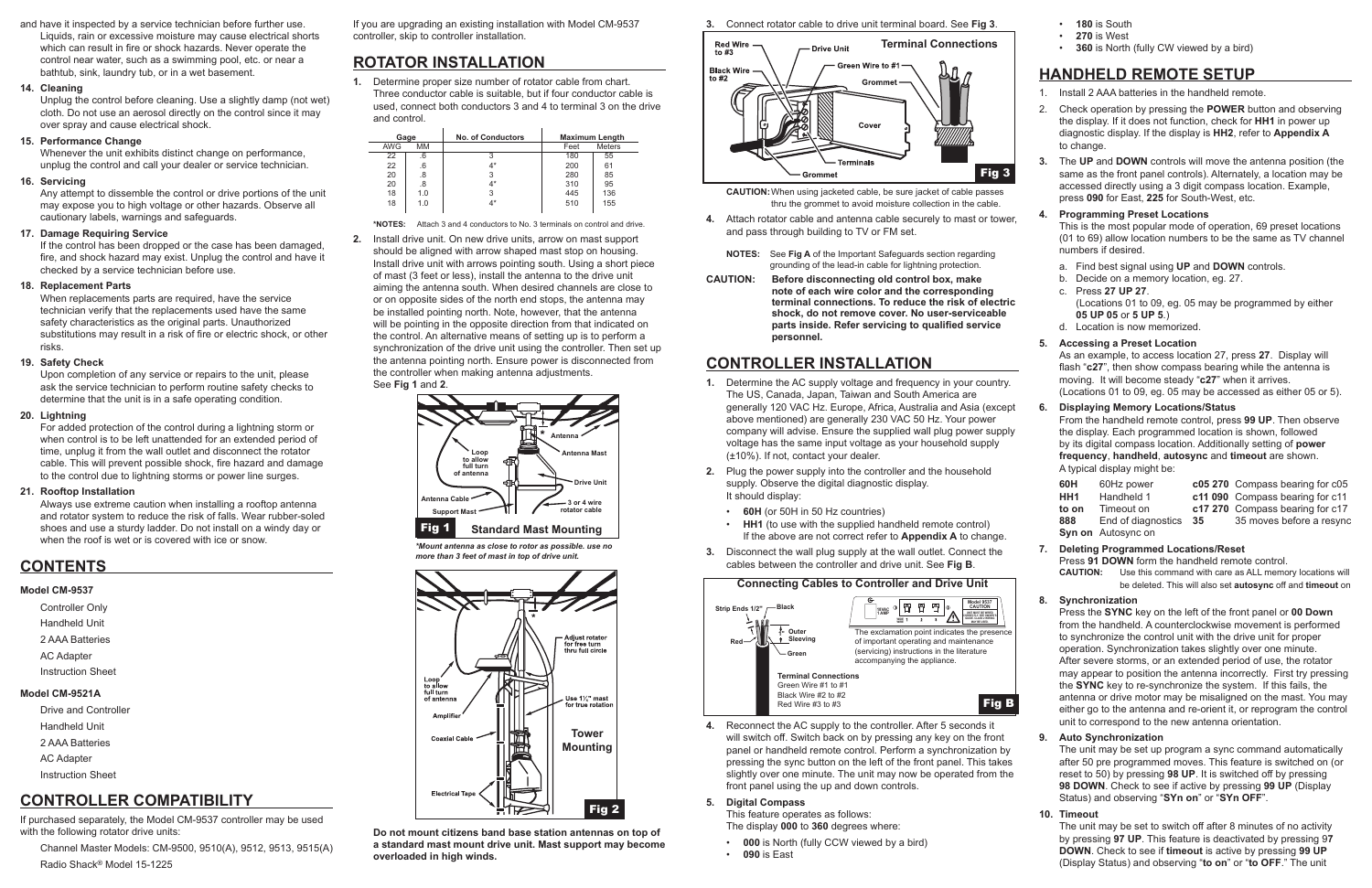and have it inspected by a service technician before further use. Liquids, rain or excessive moisture may cause electrical shorts which can result in fire or shock hazards. Never operate the control near water, such as a swimming pool, etc. or near a bathtub, sink, laundry tub, or in a wet basement.

#### **14. Cleaning**

Unplug the control before cleaning. Use a slightly damp (not wet) cloth. Do not use an aerosol directly on the control since it may over spray and cause electrical shock.

#### **15. Performance Change**

Whenever the unit exhibits distinct change on performance, unplug the control and call your dealer or service technician.

#### **16. Servicing**

Any attempt to dissemble the control or drive portions of the unit may expose you to high voltage or other hazards. Observe all cautionary labels, warnings and safeguards.

#### **17. Damage Requiring Service**

If the control has been dropped or the case has been damaged, fire, and shock hazard may exist. Unplug the control and have it checked by a service technician before use.

#### **18. Replacement Parts**

When replacements parts are required, have the service technician verify that the replacements used have the same safety characteristics as the original parts. Unauthorized substitutions may result in a risk of fire or electric shock, or other risks.

#### **19. Safety Check**

Upon completion of any service or repairs to the unit, please ask the service technician to perform routine safety checks to determine that the unit is in a safe operating condition.

#### **20. Lightning**

For added protection of the control during a lightning storm or when control is to be left unattended for an extended period of time, unplug it from the wall outlet and disconnect the rotator cable. This will prevent possible shock, fire hazard and damage to the control due to lightning storms or power line surges.

#### **21. Rooftop Installation**

Always use extreme caution when installing a rooftop antenna and rotator system to reduce the risk of falls. Wear rubber-soled shoes and use a sturdy ladder. Do not install on a windy day or when the roof is wet or is covered with ice or snow.

## **CONTENTS**

## **Model CM-9537**

| <b>Controller Only</b> |  |
|------------------------|--|
| Handheld Unit          |  |
| 2 AAA Batteries        |  |
| <b>AC Adapter</b>      |  |
| Instruction Sheet      |  |
| Model CM-9521A         |  |
| Drive and Controller   |  |
| Handheld Unit          |  |

- 2 AAA Batteries AC Adapter
- Instruction Sheet

## **CONTROLLER COMPATIBILITY**

If purchased separately, the Model CM-9537 controller may be used with the following rotator drive units:

Channel Master Models: CM-9500, 9510(A), 9512, 9513, 9515(A) Radio Shack® Model 15-1225

If you are upgrading an existing installation with Model CM-9537 controller, skip to controller installation.

## **ROTATOR INSTALLATION**

**1.** Determine proper size number of rotator cable from chart. Three conductor cable is suitable, but if four conductor cable is used, connect both conductors 3 and 4 to terminal 3 on the drive and control.

**\*NOTES:** Attach 3 and 4 conductors to No. 3 terminals on control and drive.

**2.** Install drive unit. On new drive units, arrow on mast support should be aligned with arrow shaped mast stop on housing. Install drive unit with arrows pointing south. Using a short piece of mast (3 feet or less), install the antenna to the drive unit aiming the antenna south. When desired channels are close to or on opposite sides of the north end stops, the antenna may be installed pointing north. Note, however, that the antenna will be pointing in the opposite direction from that indicated on the control. An alternative means of setting up is to perform a synchronization of the drive unit using the controller. Then set up the antenna pointing north. Ensure power is disconnected from the controller when making antenna adjustments. See **Fig 1** and **2**.

**Do not mount citizens band base station antennas on top of a standard mast mount drive unit. Mast support may become overloaded in high winds.**

#### **3.** Connect rotator cable to drive unit terminal board. See **Fig 3**.

**CAUTION:**When using jacketed cable, be sure jacket of cable passes thru the grommet to avoid moisture collection in the cable.

- **4.** Attach rotator cable and antenna cable securely to mast or tower, and pass through building to TV or FM set.
	- **NOTES:** See **Fig A** of the Important Safeguards section regarding grounding of the lead-in cable for lightning protection.
- **CAUTION: Before disconnecting old control box, make note of each wire color and the corresponding terminal connections. To reduce the risk of electric shock, do not remove cover. No user-serviceable parts inside. Refer servicing to qualified service personnel.**

## **CONTROLLER INSTALLATION**

- **1.** Determine the AC supply voltage and frequency in your country. The US, Canada, Japan, Taiwan and South America are generally 120 VAC Hz. Europe, Africa, Australia and Asia (except above mentioned) are generally 230 VAC 50 Hz. Your power company will advise. Ensure the supplied wall plug power supply voltage has the same input voltage as your household supply (±10%). If not, contact your dealer.
- **2.** Plug the power supply into the controller and the household supply. Observe the digital diagnostic display. It should display:
	- **60H** (or 50H in 50 Hz countries)
	- **HH1** (to use with the supplied handheld remote control) If the above are not correct refer to **Appendix A** to change.
- **3.** Disconnect the wall plug supply at the wall outlet. Connect the cables between the controller and drive unit. See **Fig B**.

**4.** Reconnect the AC supply to the controller. After 5 seconds it will switch off. Switch back on by pressing any key on the front panel or handheld remote control. Perform a synchronization by pressing the sync button on the left of the front panel. This takes slightly over one minute. The unit may now be operated from the front panel using the up and down controls.

#### **5. Digital Compass**

This feature operates as follows:

The display **000** to **360** degrees where:

- **000** is North (fully CCW viewed by a bird)
- **090** is East
- **180** is South
- **270** is West
- **360** is North (fully CW viewed by a bird)

## **HANDHELD REMOTE SETUP**

- 1. Install 2 AAA batteries in the handheld remote.
- 2. Check operation by pressing the **POWER** button and observing the display. If it does not function, check for **HH1** in power up diagnostic display. If the display is **HH2**, refer to **Appendix A** to change.
- **3.** The **UP** and **DOWN** controls will move the antenna position (the same as the front panel controls). Alternately, a location may be accessed directly using a 3 digit compass location. Example, press **090** for East, **225** for South-West, etc.

#### **4. Programming Preset Locations**

This is the most popular mode of operation, 69 preset locations (01 to 69) allow location numbers to be the same as TV channel numbers if desired.

- a. Find best signal using **UP** and **DOWN** controls.
- b. Decide on a memory location, eg. 27.
- c. Press **27 UP 27**.
- (Locations 01 to 09, eg. 05 may be programmed by either **05 UP 05** or **5 UP 5**.)
- d. Location is now memorized.

#### **5. Accessing a Preset Location**

As an example, to access location 27, press **27**. Display will flash "**c27**", then show compass bearing while the antenna is moving. It will become steady "**c27**" when it arrives. (Locations 01 to 09, eg. 05 may be accessed as either 05 or 5).

#### **6. Displaying Memory Locations/Status**

From the handheld remote control, press **99 UP**. Then observe the display. Each programmed location is shown, followed by its digital compass location. Additionally setting of **power frequency**, **handheld**, **autosync** and **timeout** are shown. A typical display might be:

| 60H   | 60Hz power                |     | c05 270 Compass bearing for c05 |
|-------|---------------------------|-----|---------------------------------|
| HH1   | Handheld 1                |     | c11 090 Compass bearing for c11 |
| to on | Timeout on                |     | c17 270 Compass bearing for c17 |
| 888   | End of diagnostics        | -35 | 35 moves before a resync        |
|       | <b>Syn on</b> Autosync on |     |                                 |

#### **7. Deleting Programmed Locations/Reset**

Press **91 DOWN** form the handheld remote control. **CAUTION:** Use this command with care as ALL memory locations will be deleted. This will also set **autosync** off and **timeout** on

#### **8. Synchronization**

Press the **SYNC** key on the left of the front panel or **00 Down** from the handheld. A counterclockwise movement is performed to synchronize the control unit with the drive unit for proper operation. Synchronization takes slightly over one minute. After severe storms, or an extended period of use, the rotator may appear to position the antenna incorrectly. First try pressing the **SYNC** key to re-synchronize the system. If this fails, the antenna or drive motor may be misaligned on the mast. You may either go to the antenna and re-orient it, or reprogram the control unit to correspond to the new antenna orientation.

#### **9. Auto Synchronization**

The unit may be set up program a sync command automatically after 50 pre programmed moves. This feature is switched on (or reset to 50) by pressing **98 UP**. It is switched off by pressing **98 DOWN**. Check to see if active by pressing **99 UP** (Display Status) and observing "**SYn on**" or "**SYn OFF**".

#### **10. Timeout**

The unit may be set to switch off after 8 minutes of no activity by pressing **97 UP**. This feature is deactivated by pressing 9**7 DOWN**. Check to see if **timeout** is active by pressing **99 UP** (Display Status) and observing "**to on**" or "**to OFF**." The unit











*\*Mount antenna as close to rotor as possible. use no more than 3 feet of mast in top of drive unit.*

| Gage       |     | <b>No. of Conductors</b> | <b>Maximum Length</b> |               |
|------------|-----|--------------------------|-----------------------|---------------|
| <b>AWG</b> | MМ  |                          | Feet                  | <b>Meters</b> |
| 22         | .6  | 3                        | 180                   | 55            |
| 22         | .6  | $4^*$                    | 200                   | 61            |
| 20         | .8  | 3                        | 280                   | 85            |
| 20         | .8  | 4*                       | 310                   | 95            |
| 18         | 1.0 | 3                        | 445                   | 136           |
| 18         | 1.0 | 4*                       | 510                   | 155           |
|            |     |                          |                       |               |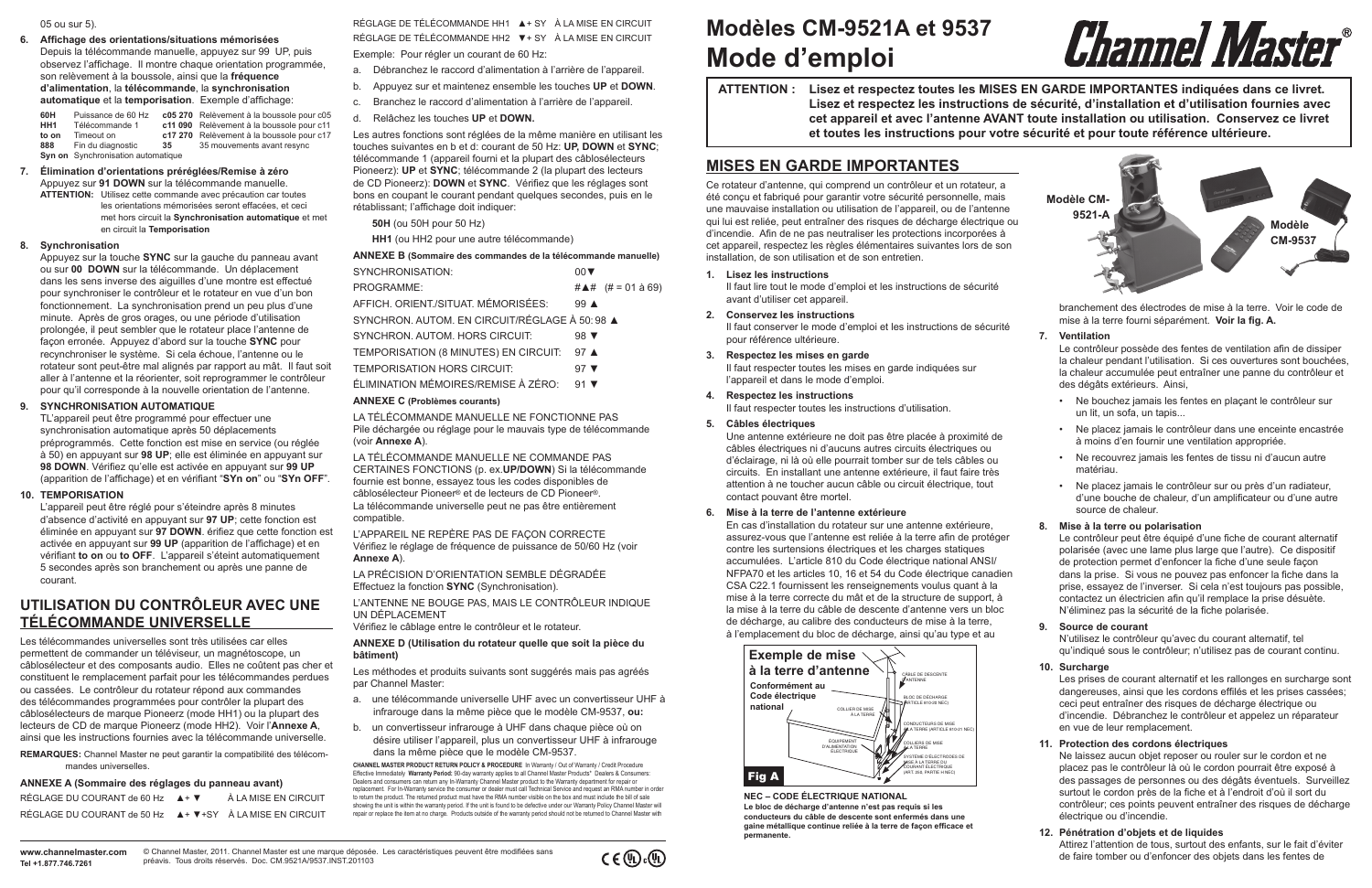**ATTENTION : Lisez et respectez toutes les MISES EN GARDE IMPORTANTES indiquées dans ce livret. Lisez et respectez les instructions de sécurité, d'installation et d'utilisation fournies avec cet appareil et avec l'antenne AVANT toute installation ou utilisation. Conservez ce livret et toutes les instructions pour votre sécurité et pour toute référence ultérieure.**

## **Mode d'emploi Modèles CM-9521A et 9537**

## **MISES EN GARDE IMPORTANTES**

Ce rotateur d'antenne, qui comprend un contrôleur et un rotateur, a été conçu et fabriqué pour garantir votre sécurité personnelle, mais une mauvaise installation ou utilisation de l'appareil, ou de l'antenne qui lui est reliée, peut entraîner des risques de décharge électrique ou d'incendie. Afin de ne pas neutraliser les protections incorporées à cet appareil, respectez les règles élémentaires suivantes lors de son installation, de son utilisation et de son entretien.

#### **1. Lisez les instructions**

Il faut lire tout le mode d'emploi et les instructions de sécurité avant d'utiliser cet appareil.

**2. Conservez les instructions**

Il faut conserver le mode d'emploi et les instructions de sécurité pour référence ultérieure.

**3. Respectez les mises en garde**

Il faut respecter toutes les mises en garde indiquées sur l'appareil et dans le mode d'emploi.

**4. Respectez les instructions**

Il faut respecter toutes les instructions d'utilisation.

#### **5. Câbles électriques**

Une antenne extérieure ne doit pas être placée à proximité de câbles électriques ni d'aucuns autres circuits électriques ou d'éclairage, ni là où elle pourrait tomber sur de tels câbles ou circuits. En installant une antenne extérieure, il faut faire très attention à ne toucher aucun câble ou circuit électrique, tout contact pouvant être mortel.

#### **6. Mise à la terre de l'antenne extérieure**

En cas d'installation du rotateur sur une antenne extérieure, assurez-vous que l'antenne est reliée à la terre afin de protéger contre les surtensions électriques et les charges statiques accumulées. L'article 810 du Code électrique national ANSI/ NFPA70 et les articles 10, 16 et 54 du Code électrique canadien CSA C22.1 fournissent les renseignements voulus quant à la mise à la terre correcte du mât et de la structure de support, à la mise à la terre du câble de descente d'antenne vers un bloc de décharge, au calibre des conducteurs de mise à la terre, à l'emplacement du bloc de décharge, ainsi qu'au type et au

branchement des électrodes de mise à la terre. Voir le code de mise à la terre fourni séparément. **Voir la fig. A.**

#### **7. Ventilation**

Le contrôleur possède des fentes de ventilation afin de dissiper la chaleur pendant l'utilisation. Si ces ouvertures sont bouchées, la chaleur accumulée peut entraîner une panne du contrôleur et des dégâts extérieurs. Ainsi,

- Ne bouchez jamais les fentes en plaçant le contrôleur sur un lit, un sofa, un tapis...
- Ne placez jamais le contrôleur dans une enceinte encastrée à moins d'en fournir une ventilation appropriée.
- Ne recouvrez jamais les fentes de tissu ni d'aucun autre matériau.
- Ne placez jamais le contrôleur sur ou près d'un radiateur, d'une bouche de chaleur, d'un amplificateur ou d'une autre source de chaleur.

#### **8. Mise à la terre ou polarisation**

Le contrôleur peut être équipé d'une fiche de courant alternatif polarisée (avec une lame plus large que l'autre). Ce dispositif de protection permet d'enfoncer la fiche d'une seule façon dans la prise. Si vous ne pouvez pas enfoncer la fiche dans la prise, essayez de l'inverser. Si cela n'est toujours pas possible, contactez un électricien afin qu'il remplace la prise désuète. N'éliminez pas la sécurité de la fiche polarisée.

#### **9. Source de courant**

N'utilisez le contrôleur qu'avec du courant alternatif, tel qu'indiqué sous le contrôleur; n'utilisez pas de courant continu.

#### **10. Surcharge**

Les prises de courant alternatif et les rallonges en surcharge sont dangereuses, ainsi que les cordons effilés et les prises cassées; ceci peut entraîner des risques de décharge électrique ou d'incendie. Débranchez le contrôleur et appelez un réparateur en vue de leur remplacement.

RÉGLAGE DE TÉLÉCOMMANDE HH1 ▲ + SY À LA MISE EN CIRCUIT RÉGLAGE DE TÉLÉCOMMANDE HH2 ▼+ SY À LA MISE EN CIRCUIT

#### **11. Protection des cordons électriques**

Ne laissez aucun objet reposer ou rouler sur le cordon et ne placez pas le contrôleur là où le cordon pourrait être exposé à des passages de personnes ou des dégâts éventuels. Surveillez surtout le cordon près de la fiche et à l'endroit d'où il sort du contrôleur; ces points peuvent entraîner des risques de décharge électrique ou d'incendie.

#### **12. Pénétration d'objets et de liquides**

Attirez l'attention de tous, surtout des enfants, sur le fait d'éviter de faire tomber ou d'enfoncer des objets dans les fentes de

#### 05 ou sur 5).

#### **6. Affichage des orientations/situations mémorisées**

Depuis la télécommande manuelle, appuyez sur 99 UP, puis observez l'affichage. Il montre chaque orientation programmée, son relèvement à la boussole, ainsi que la **fréquence d'alimentation**, la **télécommande**, la **synchronisation automatique** et la **temporisation**. Exemple d'affichage:

**60H** Puissance de 60 Hz **c05 270** Relèvement à la boussole pour c05 Télécommande 1 **c11 090** Relèvement à la boussole pour c11<br>Timeout on **c17 270** Relèvement à la boussole pour c17 **to on** Timeout on **c17 270** Relèvement à la boussole pour c17 **888** Fin du diagnostic **35** 35 mouvements avant resync **85** mouvements avant resync **Syn on** Synchronisation automatique

**7. Élimination d'orientations préréglées/Remise à zéro**  Appuyez sur **91 DOWN** sur la télécommande manuelle. **ATTENTION:** Utilisez cette commande avec précaution car toutes les orientations mémorisées seront effacées, et ceci met hors circuit la **Synchronisation automatique** et met en circuit la **Temporisation**

#### **8. Synchronisation**



# Channel Master®

Appuyez sur la touche **SYNC** sur la gauche du panneau avant ou sur **00 DOWN** sur la télécommande. Un déplacement dans les sens inverse des aiguilles d'une montre est effectué pour synchroniser le contrôleur et le rotateur en vue d'un bon fonctionnement. La synchronisation prend un peu plus d'une minute. Après de gros orages, ou une période d'utilisation prolongée, il peut sembler que le rotateur place l'antenne de façon erronée. Appuyez d'abord sur la touche **SYNC** pour recynchroniser le système. Si cela échoue, l'antenne ou le rotateur sont peut-être mal alignés par rapport au mât. Il faut soit aller à l'antenne et la réorienter, soit reprogrammer le contrôleur pour qu'il corresponde à la nouvelle orientation de l'antenne.

#### **9. SYNCHRONISATION AUTOMATIQUE**

TL'appareil peut être programmé pour effectuer une synchronisation automatique après 50 déplacements préprogrammés. Cette fonction est mise en service (ou réglée à 50) en appuyant sur **98 UP**; elle est éliminée en appuyant sur **98 DOWN**. Vérifiez qu'elle est activée en appuyant sur **99 UP** (apparition de l'affichage) et en vérifiant "**SYn on**" ou "**SYn OFF**".

#### **10. TEMPORISATION**

L'appareil peut être réglé pour s'éteindre après 8 minutes d'absence d'activité en appuyant sur **97 UP**; cette fonction est éliminée en appuyant sur **97 DOWN**. érifiez que cette fonction est activée en appuyant sur **99 UP** (apparition de l'affichage) et en vérifiant **to on** ou **to OFF**. L'appareil s'éteint automatiquement 5 secondes après son branchement ou après une panne de courant.

## **UTILISATION DU CONTRÔLEUR AVEC UNE TÉLÉCOMMANDE UNIVERSELLE**

Les télécommandes universelles sont très utilisées car elles permettent de commander un téléviseur, un magnétoscope, un câblosélecteur et des composants audio. Elles ne coûtent pas cher et constituent le remplacement parfait pour les télécommandes perdues ou cassées. Le contrôleur du rotateur répond aux commandes des télécommandes programmées pour contrôler la plupart des câblosélecteurs de marque Pioneerz (mode HH1) ou la plupart des lecteurs de CD de marque Pioneerz (mode HH2). Voir l'**Annexe A**, ainsi que les instructions fournies avec la télécommande universelle.

**REMARQUES:** Channel Master ne peut garantir la compatibilité des télécommandes universelles.

#### **ANNEXE A (Sommaire des réglages du panneau avant)**

| RÉGLAGE DU COURANT de 60 Hz $A + \nabla$                    | À LA MISE EN CIRCUIT |
|-------------------------------------------------------------|----------------------|
| RÉGLAGE DU COURANT de 50 Hz A + V + SY À LA MISE EN CIRCUIT |                      |

Exemple: Pour régler un courant de 60 Hz:

- a. Débranchez le raccord d'alimentation à l'arrière de l'appareil.
- b. Appuyez sur et maintenez ensemble les touches **UP** et **DOWN**.
- c. Branchez le raccord d'alimentation à l'arrière de l'appareil.
- d. Relâchez les touches **UP** et **DOWN.**

Les autres fonctions sont réglées de la même manière en utilisant les touches suivantes en b et d: courant de 50 Hz: **UP, DOWN** et **SYNC**; télécommande 1 (appareil fourni et la plupart des câblosélecteurs Pioneerz): **UP** et **SYNC**; télécommande 2 (la plupart des lecteurs de CD Pioneerz): **DOWN** et **SYNC**. Vérifiez que les réglages sont bons en coupant le courant pendant quelques secondes, puis en le rétablissant; l'affichage doit indiquer:

**50H** (ou 50H pour 50 Hz)

**HH1** (ou HH2 pour une autre télécommande)

#### **ANNEXE B (Sommaire des commandes de la télécommande manuelle)**

| SYNCHRONISATION:                                    | $00 \blacktriangledown$   |                         |
|-----------------------------------------------------|---------------------------|-------------------------|
| PROGRAMME:                                          |                           | #▲# $(# = 01 \land 69)$ |
| AFFICH. ORIENT./SITUAT. MÉMORISÉES:                 | $99 \triangle$            |                         |
| SYNCHRON, AUTOM, EN CIRCUIT/RÉGLAGE À 50:98 ▲       |                           |                         |
| SYNCHRON, AUTOM, HORS CIRCUIT:                      | 98 $\blacktriangledown$   |                         |
| TEMPORISATION (8 MINUTES) EN CIRCUIT:               | 97 $\triangle$            |                         |
| <b>TEMPORISATION HORS CIRCUIT:</b>                  | 97 $\blacktriangledown$   |                         |
| ÉLIMINATION MÉMOIRES/REMISE À ZÉRO:                 | $91$ $\blacktriangledown$ |                         |
| ANNEVE $\bigcap_{n=1}^{n}$ (Duals) is a constant of |                           |                         |

#### **ANNEXE C (Problèmes courants)**

LA TÉLÉCOMMANDE MANUELLE NE FONCTIONNE PAS Pile déchargée ou réglage pour le mauvais type de télécommande (voir **Annexe A**).

LA TÉLÉCOMMANDE MANUELLE NE COMMANDE PAS CERTAINES FONCTIONS (p. ex.**UP/DOWN**) Si la télécommande fournie est bonne, essayez tous les codes disponibles de câblosélecteur Pioneer® et de lecteurs de CD Pioneer®. La télécommande universelle peut ne pas être entièrement compatible.

L'APPAREIL NE REPÈRE PAS DE FAÇON CORRECTE Vérifiez le réglage de fréquence de puissance de 50/60 Hz (voir **Annexe A**).

LA PRÉCISION D'ORIENTATION SEMBLE DÉGRADÉE Effectuez la fonction **SYNC** (Synchronisation).

L'ANTENNE NE BOUGE PAS, MAIS LE CONTRÔLEUR INDIQUE UN DÉPLACEMENT

Vérifiez le câblage entre le contrôleur et le rotateur.

#### **ANNEXE D (Utilisation du rotateur quelle que soit la pièce du bâtiment)**

Les méthodes et produits suivants sont suggérés mais pas agréés par Channel Master:

- a. une télécommande universelle UHF avec un convertisseur UHF à infrarouge dans la même pièce que le modèle CM-9537, **ou:**
- b. un convertisseur infrarouge à UHF dans chaque pièce où on désire utiliser l'appareil, plus un convertisseur UHF à infrarouge dans la même pièce que le modèle CM-9537.

**CHANNEL MASTER PRODUCT RETURN POLICY & PROCEDURE** In Warranty / Out of Warranty / Credit Procedure Effective Immediately **Warranty Period:** 90-day warranty applies to all Channel Master Products\* Dealers & Consumers: Dealers and consumers can return any In-Warranty Channel Master product to the Warranty department for repair or replacement. For In-Warranty service the consumer or dealer must call Technical Service and request an RMA number in order to return the product. The returned product must have the RMA number visible on the box and must include the bill of sale showing the unit is within the warranty period. If the unit is found to be defective under our Warranty Policy Channel Master will repair or replace the item at no charge. Products outside of the warranty period should not be returned to Channel Master with

**NEC – CODE ÉLECTRIQUE NATIONAL**

**Le bloc de décharge d'antenne n'est pas requis si les conducteurs du câble de descente sont enfermés dans une gaine métallique continue reliée à la terre de façon efficace et permanente.**



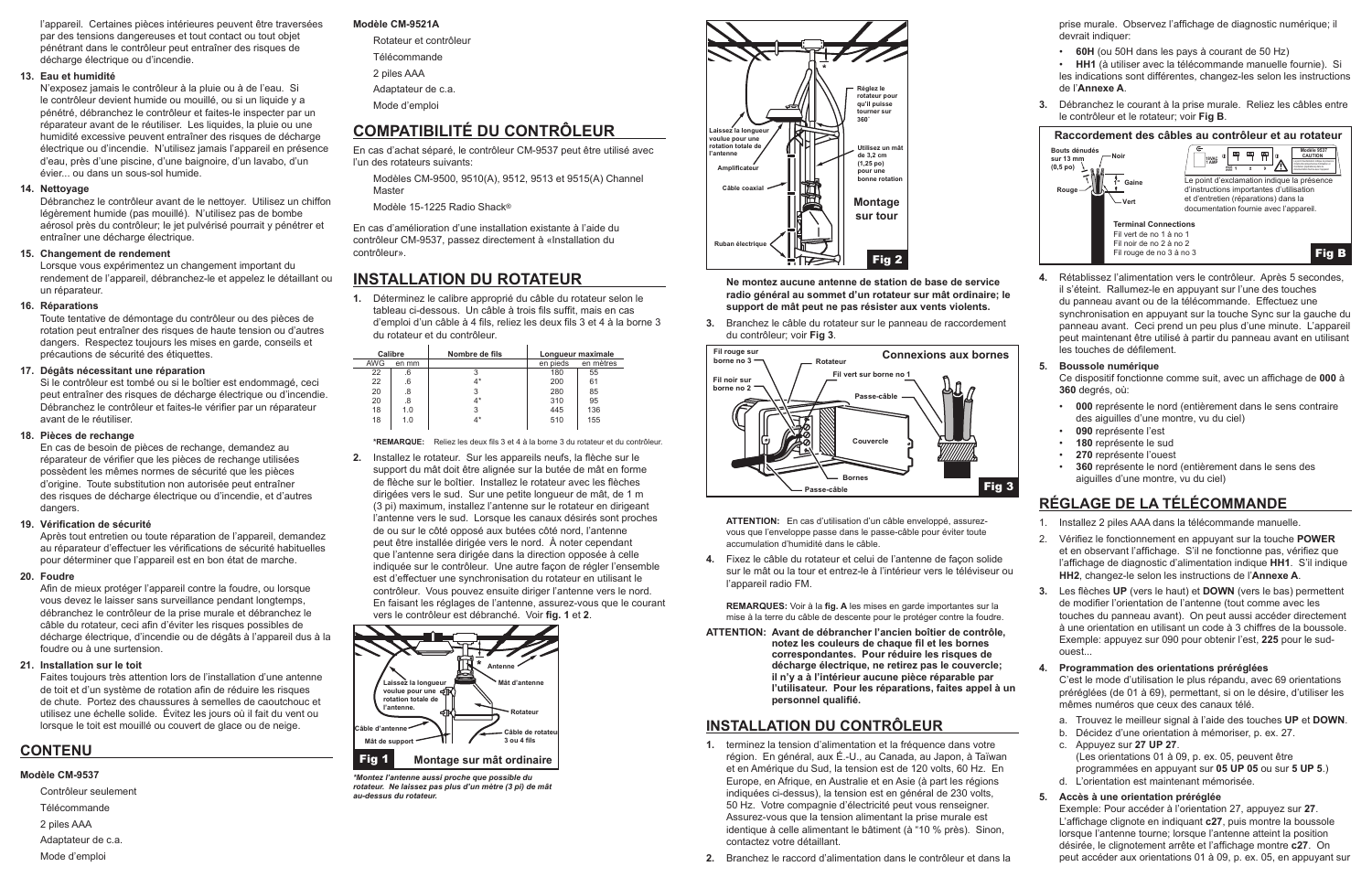l'appareil. Certaines pièces intérieures peuvent être traversées par des tensions dangereuses et tout contact ou tout objet pénétrant dans le contrôleur peut entraîner des risques de décharge électrique ou d'incendie.

#### **13. Eau et humidité**

N'exposez jamais le contrôleur à la pluie ou à de l'eau. Si le contrôleur devient humide ou mouillé, ou si un liquide y a pénétré, débranchez le contrôleur et faites-le inspecter par un réparateur avant de le réutiliser. Les liquides, la pluie ou une humidité excessive peuvent entraîner des risques de décharge électrique ou d'incendie. N'utilisez jamais l'appareil en présence d'eau, près d'une piscine, d'une baignoire, d'un lavabo, d'un évier... ou dans un sous-sol humide.

#### **14. Nettoyage**

Débranchez le contrôleur avant de le nettoyer. Utilisez un chiffon légèrement humide (pas mouillé). N'utilisez pas de bombe aérosol près du contrôleur; le jet pulvérisé pourrait y pénétrer et entraîner une décharge électrique.

#### **15. Changement de rendement**

Lorsque vous expérimentez un changement important du rendement de l'appareil, débranchez-le et appelez le détaillant ou un réparateur.

#### **16. Réparations**

Toute tentative de démontage du contrôleur ou des pièces de rotation peut entraîner des risques de haute tension ou d'autres dangers. Respectez toujours les mises en garde, conseils et précautions de sécurité des étiquettes.

#### **17. Dégâts nécessitant une réparation**

Si le contrôleur est tombé ou si le boîtier est endommagé, ceci peut entraîner des risques de décharge électrique ou d'incendie. Débranchez le contrôleur et faites-le vérifier par un réparateur avant de le réutiliser.

#### **18. Pièces de rechange**

En cas de besoin de pièces de rechange, demandez au réparateur de vérifier que les pièces de rechange utilisées possèdent les mêmes normes de sécurité que les pièces d'origine. Toute substitution non autorisée peut entraîner des risques de décharge électrique ou d'incendie, et d'autres dangers.

#### **19. Vérification de sécurité**

Après tout entretien ou toute réparation de l'appareil, demandez au réparateur d'effectuer les vérifications de sécurité habituelles pour déterminer que l'appareil est en bon état de marche.

#### **20. Foudre**

Afin de mieux protéger l'appareil contre la foudre, ou lorsque vous devez le laisser sans surveillance pendant longtemps, débranchez le contrôleur de la prise murale et débranchez le câble du rotateur, ceci afin d'éviter les risques possibles de décharge électrique, d'incendie ou de dégâts à l'appareil dus à la foudre ou à une surtension.

#### **21. Installation sur le toit**

Faites toujours très attention lors de l'installation d'une antenne de toit et d'un système de rotation afin de réduire les risques de chute. Portez des chaussures à semelles de caoutchouc et utilisez une échelle solide. Évitez les jours où il fait du vent ou lorsque le toit est mouillé ou couvert de glace ou de neige.

### **CONTENU**

#### **Modèle CM-9537**

- Contrôleur seulement
- **Télécommande**
- 2 piles AAA
- Adaptateur de c.a. Mode d'emploi

#### **Modèle CM-9521A**

Rotateur et contrôleur Télécommande 2 piles AAA Adaptateur de c.a. Mode d'emploi

## **COMPATIBILITÉ DU CONTRÔLEUR**

En cas d'achat séparé, le contrôleur CM-9537 peut être utilisé avec l'un des rotateurs suivants:

Modèles CM-9500, 9510(A), 9512, 9513 et 9515(A) Channel Master

Modèle 15-1225 Radio Shack®

En cas d'amélioration d'une installation existante à l'aide du contrôleur CM-9537, passez directement à «Installation du contrôleur».

## **INSTALLATION DU ROTATEUR**

**1.** Déterminez le calibre approprié du câble du rotateur selon le tableau ci-dessous. Un câble à trois fils suffit, mais en cas d'emploi d'un câble à 4 fils, reliez les deux fils 3 et 4 à la borne 3 du rotateur et du contrôleur.

prise murale. Observez l'affichage de diagnostic numérique; il devrait indiquer:

| Calibre    |       | Nombre de fils | Longueur maximale |           |
|------------|-------|----------------|-------------------|-----------|
| <b>AWG</b> | en mm |                | en pieds          | en mètres |
| 22         | .6    |                | 180               | 55        |
| 22         | .6    | $4^*$          | 200               | 61        |
| 20         | .8    |                | 280               | 85        |
| 20         | .8    | 4*             | 310               | 95        |
| 18         | 1.0   |                | 445               | 136       |
| 18         | 1.0   | $4^*$          | 510               | 155       |
|            |       |                |                   |           |

**\*REMARQUE:** Reliez les deux fils 3 et 4 à la borne 3 du rotateur et du contrôleur.

**2.** Installez le rotateur. Sur les appareils neufs, la flèche sur le support du mât doit être alignée sur la butée de mât en forme de flèche sur le boîtier. Installez le rotateur avec les flèches dirigées vers le sud. Sur une petite longueur de mât, de 1 m (3 pi) maximum, installez l'antenne sur le rotateur en dirigeant l'antenne vers le sud. Lorsque les canaux désirés sont proches de ou sur le côté opposé aux butées côté nord, l'antenne peut être installée dirigée vers le nord. À noter cependant que l'antenne sera dirigée dans la direction opposée à celle indiquée sur le contrôleur. Une autre façon de régler l'ensemble est d'effectuer une synchronisation du rotateur en utilisant le contrôleur. Vous pouvez ensuite diriger l'antenne vers le nord. En faisant les réglages de l'antenne, assurez-vous que le courant vers le contrôleur est débranché. Voir **fig. 1** et **2**.



*\*Montez l'antenne aussi proche que possible du rotateur. Ne laissez pas plus d'un mètre (3 pi) de mât au-dessus du rotateur.*



**Ne montez aucune antenne de station de base de service radio général au sommet d'un rotateur sur mât ordinaire; le support de mât peut ne pas résister aux vents violents.**

**3.** Branchez le câble du rotateur sur le panneau de raccordement du contrôleur; voir **Fig 3**.



**ATTENTION:** En cas d'utilisation d'un câble enveloppé, assurezvous que l'enveloppe passe dans le passe-câble pour éviter toute accumulation d'humidité dans le câble.

**4.** Fixez le câble du rotateur et celui de l'antenne de façon solide sur le mât ou la tour et entrez-le à l'intérieur vers le téléviseur ou l'appareil radio FM.

**REMARQUES:** Voir à la **fig. A** les mises en garde importantes sur la mise à la terre du câble de descente pour le protéger contre la foudre.

**ATTENTION: Avant de débrancher l'ancien boîtier de contrôle, notez les couleurs de chaque fil et les bornes correspondantes. Pour réduire les risques de décharge électrique, ne retirez pas le couvercle; il n'y a à l'intérieur aucune pièce réparable par l'utilisateur. Pour les réparations, faites appel à un personnel qualifié.**

## **INSTALLATION DU CONTRÔLEUR**

- **1.** terminez la tension d'alimentation et la fréquence dans votre région. En général, aux É.-U., au Canada, au Japon, à Taïwan et en Amérique du Sud, la tension est de 120 volts, 60 Hz. En Europe, en Afrique, en Australie et en Asie (à part les régions indiquées ci-dessus), la tension est en général de 230 volts, 50 Hz. Votre compagnie d'électricité peut vous renseigner. Assurez-vous que la tension alimentant la prise murale est identique à celle alimentant le bâtiment (à "10 % près). Sinon, contactez votre détaillant.
- **2.** Branchez le raccord d'alimentation dans le contrôleur et dans la
- **60H** (ou 50H dans les pays à courant de 50 Hz)
- **HH1** (à utiliser avec la télécommande manuelle fournie). Si
- les indications sont différentes, changez-les selon les instructions de l'**Annexe A**.
- **3.** Débranchez le courant à la prise murale. Reliez les câbles entre le contrôleur et le rotateur; voir **Fig B**.



**4.** Rétablissez l'alimentation vers le contrôleur. Après 5 secondes, il s'éteint. Rallumez-le en appuyant sur l'une des touches du panneau avant ou de la télécommande. Effectuez une synchronisation en appuyant sur la touche Sync sur la gauche du panneau avant. Ceci prend un peu plus d'une minute. L'appareil peut maintenant être utilisé à partir du panneau avant en utilisant les touches de défilement.

#### **5. Boussole numérique**

Ce dispositif fonctionne comme suit, avec un affichage de **000** à **360** degrés, où:

- **000** représente le nord (entièrement dans le sens contraire des aiguilles d'une montre, vu du ciel)
- **090** représente l'est
- **180** représente le sud
- **270** représente l'ouest
- **360** représente le nord (entièrement dans le sens des aiguilles d'une montre, vu du ciel)

## **RÉGLAGE DE LA TÉLÉCOMMANDE**

- 1. Installez 2 piles AAA dans la télécommande manuelle.
- 2. Vérifiez le fonctionnement en appuyant sur la touche **POWER** et en observant l'affichage. S'il ne fonctionne pas, vérifiez que l'affichage de diagnostic d'alimentation indique **HH1**. S'il indique **HH2**, changez-le selon les instructions de l'**Annexe A**.
- **3.** Les flèches **UP** (vers le haut) et **DOWN** (vers le bas) permettent de modifier l'orientation de l'antenne (tout comme avec les touches du panneau avant). On peut aussi accéder directement à une orientation en utilisant un code à 3 chiffres de la boussole. Exemple: appuyez sur 090 pour obtenir l'est, **225** pour le sudouest...

#### **4. Programmation des orientations préréglées**

C'est le mode d'utilisation le plus répandu, avec 69 orientations préréglées (de 01 à 69), permettant, si on le désire, d'utiliser les mêmes numéros que ceux des canaux télé.

- a. Trouvez le meilleur signal à l'aide des touches **UP** et **DOWN**.
- b. Décidez d'une orientation à mémoriser, p. ex. 27.
- c. Appuyez sur **27 UP 27**. (Les orientations 01 à 09, p. ex. 05, peuvent être programmées en appuyant sur **05 UP 05** ou sur **5 UP 5**.)
- d. L'orientation est maintenant mémorisée.

#### **5. Accès à une orientation préréglée**

Exemple: Pour accéder à l'orientation 27, appuyez sur **27**. L'affichage clignote en indiquant **c27**, puis montre la boussole lorsque l'antenne tourne; lorsque l'antenne atteint la position désirée, le clignotement arrête et l'affichage montre **c27**. On peut accéder aux orientations 01 à 09, p. ex. 05, en appuyant sur